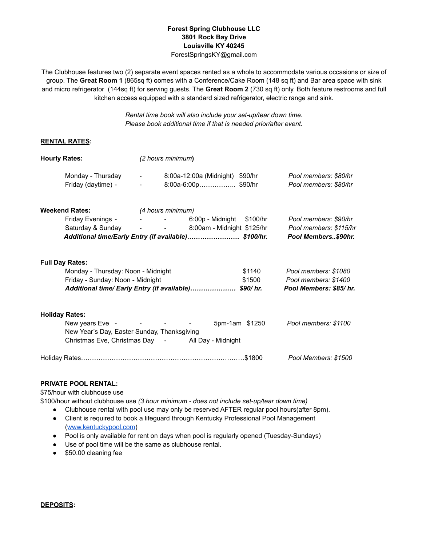## **Forest Spring Clubhouse LLC 3801 Rock Bay Drive Louisville KY 40245**

ForestSpringsKY@gmail.com

The Clubhouse features two (2) separate event spaces rented as a whole to accommodate various occasions or size of group. The **Great Room 1** (865sq ft) **c**omes with a Conference/Cake Room (148 sq ft) and Bar area space with sink and micro refrigerator (144sq ft) for serving guests. The **Great Room 2** (730 sq ft) only. Both feature restrooms and full kitchen access equipped with a standard sized refrigerator, electric range and sink.

> *Rental time book will also include your set-up/tear down time. Please book additional time if that is needed prior/after event.*

## **RENTAL RATES:**

| <b>Hourly Rates:</b>                                 |                                                                                                                                                                                                                                | (2 hours minimum)                                                                        |                           |                                                                        |
|------------------------------------------------------|--------------------------------------------------------------------------------------------------------------------------------------------------------------------------------------------------------------------------------|------------------------------------------------------------------------------------------|---------------------------|------------------------------------------------------------------------|
| Monday - Thursday<br>Friday (daytime) -              | <b>All Control</b><br>$\sim$                                                                                                                                                                                                   | 8:00a-12:00a (Midnight) \$90/hr<br>8:00a-6:00p\$90/hr                                    |                           | Pool members: \$80/hr<br>Pool members: \$80/hr                         |
| <b>Weekend Rates:</b>                                |                                                                                                                                                                                                                                | (4 hours minimum)                                                                        |                           |                                                                        |
|                                                      | Friday Evenings - The Review of the Review of the Review of the Review of the Review of the Review of the Review of the Review of the Review of the Review of the Review of the Review of the Review of the Review of the Revi |                                                                                          | 6:00p - Midnight \$100/hr | Pool members: \$90/hr                                                  |
|                                                      |                                                                                                                                                                                                                                | Saturday & Sunday - - 8:00am - Midnight \$125/hr                                         |                           | Pool members: \$115/hr                                                 |
| Additional time/Early Entry (if available) \$100/hr. |                                                                                                                                                                                                                                |                                                                                          |                           | Pool Members\$90hr.                                                    |
| <b>Full Day Rates:</b>                               | Monday - Thursday: Noon - Midnight<br>Friday - Sunday: Noon - Midnight                                                                                                                                                         | Additional time/ Early Entry (if available) \$90/ hr.                                    | \$1140<br>\$1500          | Pool members: \$1080<br>Pool members: \$1400<br>Pool Members: \$85/hr. |
| <b>Holiday Rates:</b><br>New years Eve -             | New Year's Day, Easter Sunday, Thanksgiving                                                                                                                                                                                    | and the contract of the contract of<br>Christmas Eve, Christmas Day - All Day - Midnight | 5pm-1am \$1250            | Pool members: \$1100                                                   |
|                                                      |                                                                                                                                                                                                                                |                                                                                          |                           | Pool Members: \$1500                                                   |

## **PRIVATE POOL RENTAL:**

\$75/hour with clubhouse use

\$100/hour without clubhouse use *(3 hour minimum - does not include set-up/tear down time)*

- Clubhouse rental with pool use may only be reserved AFTER regular pool hours(after 8pm).
- Client is required to book a lifeguard through Kentucky Professional Pool Management ([www.kentuckypool.com](http://www.kentuckypool.com))
- Pool is only available for rent on days when pool is regularly opened (Tuesday-Sundays)
- Use of pool time will be the same as clubhouse rental.
- \$50.00 cleaning fee

**DEPOSITS:**